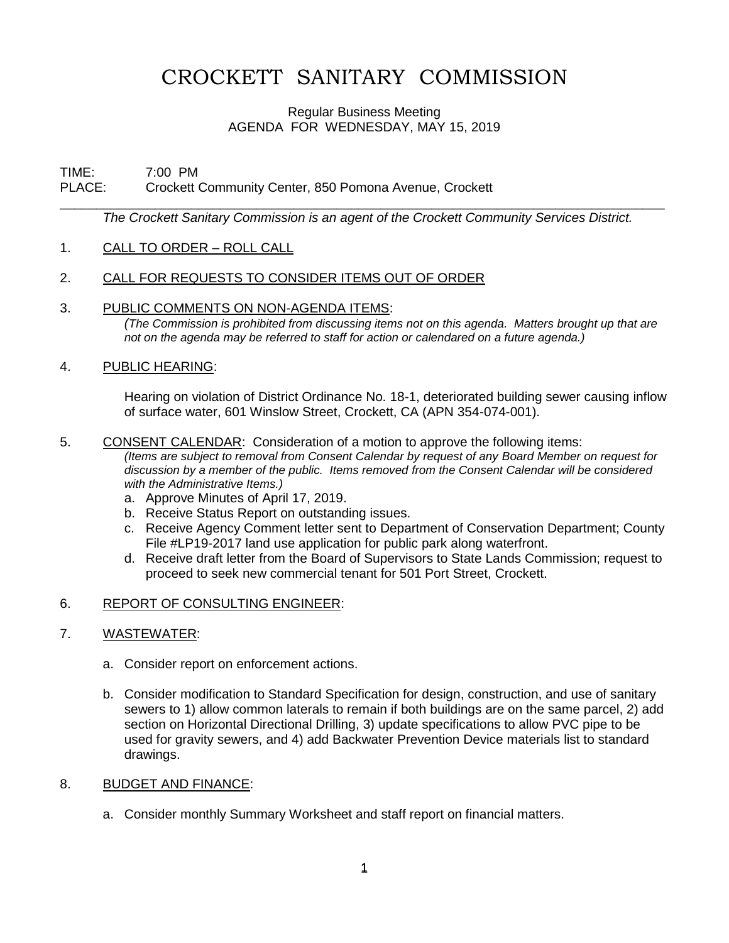# CROCKETT SANITARY COMMISSION

## Regular Business Meeting AGENDA FOR WEDNESDAY, MAY 15, 2019

## TIME: 7:00 PM PLACE: Crockett Community Center, 850 Pomona Avenue, Crockett

\_\_\_\_\_\_\_\_\_\_\_\_\_\_\_\_\_\_\_\_\_\_\_\_\_\_\_\_\_\_\_\_\_\_\_\_\_\_\_\_\_\_\_\_\_\_\_\_\_\_\_\_\_\_\_\_\_\_\_\_\_\_\_\_\_\_\_\_\_\_\_\_\_\_\_\_\_\_\_\_\_\_\_ *The Crockett Sanitary Commission is an agent of the Crockett Community Services District.* 

- 1. CALL TO ORDER ROLL CALL
- 2. CALL FOR REQUESTS TO CONSIDER ITEMS OUT OF ORDER
- 3. PUBLIC COMMENTS ON NON-AGENDA ITEMS:

*(The Commission is prohibited from discussing items not on this agenda. Matters brought up that are not on the agenda may be referred to staff for action or calendared on a future agenda.)*

4. PUBLIC HEARING:

Hearing on violation of District Ordinance No. 18-1, deteriorated building sewer causing inflow of surface water, 601 Winslow Street, Crockett, CA (APN 354-074-001).

## 5. CONSENT CALENDAR: Consideration of a motion to approve the following items:

*(Items are subject to removal from Consent Calendar by request of any Board Member on request for discussion by a member of the public. Items removed from the Consent Calendar will be considered with the Administrative Items.)*

- a. Approve Minutes of April 17, 2019.
- b. Receive Status Report on outstanding issues.
- c. Receive Agency Comment letter sent to Department of Conservation Department; County File #LP19-2017 land use application for public park along waterfront.
- d. Receive draft letter from the Board of Supervisors to State Lands Commission; request to proceed to seek new commercial tenant for 501 Port Street, Crockett.

## 6. REPORT OF CONSULTING ENGINEER:

## 7. WASTEWATER:

- a. Consider report on enforcement actions.
- b. Consider modification to Standard Specification for design, construction, and use of sanitary sewers to 1) allow common laterals to remain if both buildings are on the same parcel, 2) add section on Horizontal Directional Drilling, 3) update specifications to allow PVC pipe to be used for gravity sewers, and 4) add Backwater Prevention Device materials list to standard drawings.

## 8. BUDGET AND FINANCE:

a. Consider monthly Summary Worksheet and staff report on financial matters.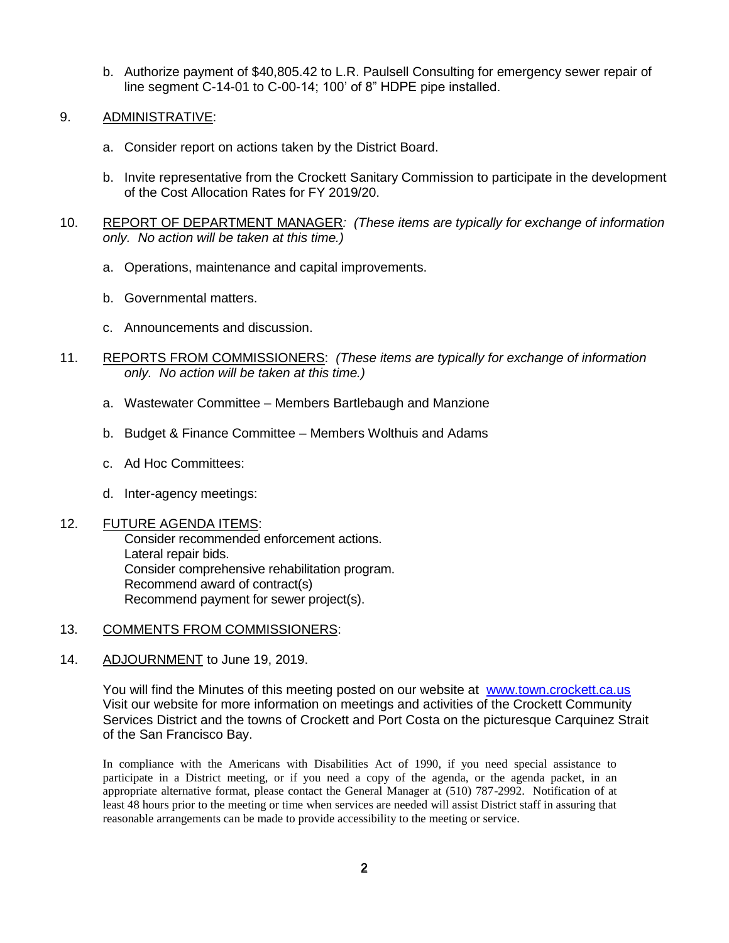- b. Authorize payment of \$40,805.42 to L.R. Paulsell Consulting for emergency sewer repair of line segment C-14-01 to C-00-14; 100' of 8" HDPE pipe installed.
- 9. ADMINISTRATIVE:
	- a. Consider report on actions taken by the District Board.
	- b. Invite representative from the Crockett Sanitary Commission to participate in the development of the Cost Allocation Rates for FY 2019/20.
- 10. REPORT OF DEPARTMENT MANAGER*: (These items are typically for exchange of information only. No action will be taken at this time.)*
	- a. Operations, maintenance and capital improvements.
	- b. Governmental matters.
	- c. Announcements and discussion.
- 11. REPORTS FROM COMMISSIONERS: *(These items are typically for exchange of information only. No action will be taken at this time.)*
	- a. Wastewater Committee Members Bartlebaugh and Manzione
	- b. Budget & Finance Committee Members Wolthuis and Adams
	- c. Ad Hoc Committees:
	- d. Inter-agency meetings:

## 12. FUTURE AGENDA ITEMS:

Consider recommended enforcement actions. Lateral repair bids. Consider comprehensive rehabilitation program. Recommend award of contract(s) Recommend payment for sewer project(s).

- 13. COMMENTS FROM COMMISSIONERS:
- 14. ADJOURNMENT to June 19, 2019.

You will find the Minutes of this meeting posted on our website at [www.town.crockett.ca.us](http://www.town.crockett.ca.us/)  Visit our website for more information on meetings and activities of the Crockett Community Services District and the towns of Crockett and Port Costa on the picturesque Carquinez Strait of the San Francisco Bay.

In compliance with the Americans with Disabilities Act of 1990, if you need special assistance to participate in a District meeting, or if you need a copy of the agenda, or the agenda packet, in an appropriate alternative format, please contact the General Manager at (510) 787-2992. Notification of at least 48 hours prior to the meeting or time when services are needed will assist District staff in assuring that reasonable arrangements can be made to provide accessibility to the meeting or service.